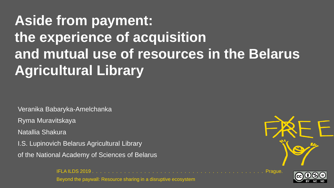# **Aside from payment: the experience of acquisition and mutual use of resources in the Belarus Agricultural Library**

Veranika Babaryka-Amelchanka

Ryma Muravitskaya

Natallia Shakura

I.S. Lupinovich Belarus Agricultural Library

of the National Academy of Sciences of Belarus

IFLA ILDS 2019 . . . . . . . . . . . . . . . . . . . . . . . . . . . . . . . . . . . . . . . . . . . Prague.





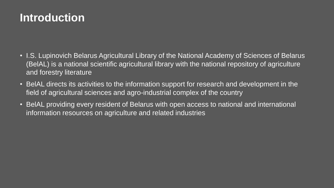## **Introduction**

- I.S. Lupinovich Belarus Agricultural Library of the National Academy of Sciences of Belarus (BelAL) is a national scientific agricultural library with the national repository of agriculture and forestry literature
- BelAL directs its activities to the information support for research and development in the field of agricultural sciences and agro-industrial complex of the country
- BelAL providing every resident of Belarus with open access to national and international information resources on agriculture and related industries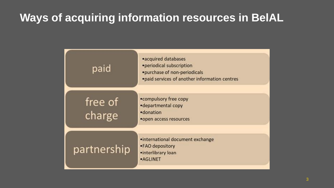## **Ways of acquiring information resources in BelAL**

| paid              | •acquired databases<br>•periodical subscription<br>•purchase of non-periodicals<br>·paid services of another information centres |
|-------------------|----------------------------------------------------------------------------------------------------------------------------------|
| free of<br>charge | •compulsory free copy<br>•departmental copy<br>·donation<br>•open access resources                                               |
| partnership       | •international document exchange<br>•FAO depository<br>•interlibrary loan<br><b>•AGLINET</b>                                     |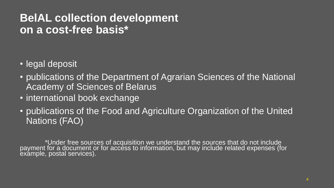#### **BelAL collection development on a cost-free basis\***

- legal deposit
- publications of the Department of Agrarian Sciences of the National Academy of Sciences of Belarus
- international book exchange
- publications of the Food and Agriculture Organization of the United Nations (FAO)

\*Under free sources of acquisition we understand the sources that do not include payment for a document or for access to information, but may include related expenses (for exámple, postal services).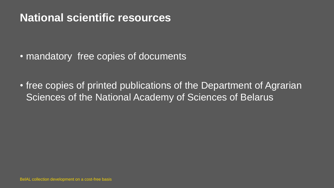### **National scientific resources**

• mandatory free copies of documents

• free copies of printed publications of the Department of Agrarian Sciences of the National Academy of Sciences of Belarus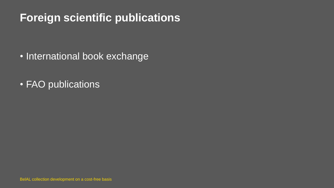## **Foreign scientific publications**

- International book exchange
- FAO publications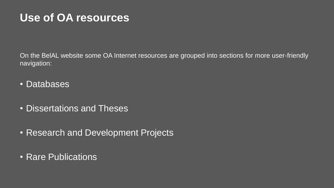#### **Use of OA resources**

On the BelAL website some OA Internet resources are grouped into sections for more user-friendly navigation:

- Databases
- Dissertations and Theses
- Research and Development Projects
- Rare Publications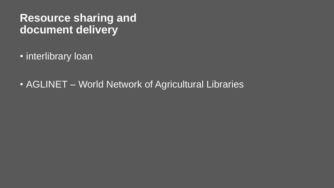#### **Resource sharing and document delivery**

- interlibrary loan
- AGLINET World Network of Agricultural Libraries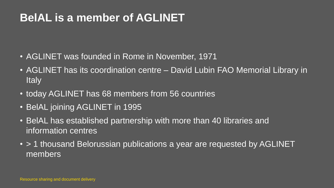## **BelAL is a member of AGLINET**

- AGLINET was founded in Rome in November, 1971
- AGLINET has its coordination centre David Lubin FAO Memorial Library in **Italy**
- today AGLINET has 68 members from 56 countries
- BelAL joining AGLINET in 1995
- BelAL has established partnership with more than 40 libraries and information centres
- > 1 thousand Belorussian publications a year are requested by AGLINET members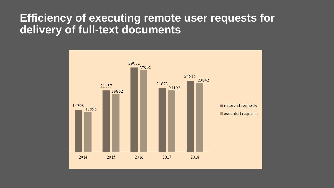#### **Efficiency of executing remote user requests for delivery of full-text documents**

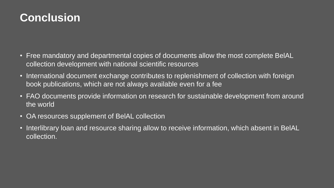## **Conclusion**

- Free mandatory and departmental copies of documents allow the most complete BelAL collection development with national scientific resources
- International document exchange contributes to replenishment of collection with foreign book publications, which are not always available even for a fee
- FAO documents provide information on research for sustainable development from around the world
- OA resources supplement of BelAL collection
- Interlibrary loan and resource sharing allow to receive information, which absent in BelAL collection.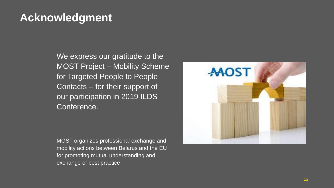## **Acknowledgment**

We express our gratitude to the MOST Project – Mobility Scheme for Targeted People to People Contacts – for their support of our participation in 2019 ILDS Conference.

MOST organizes professional exchange and mobility actions between Belarus and the EU for promoting mutual understanding and exchange of best practice